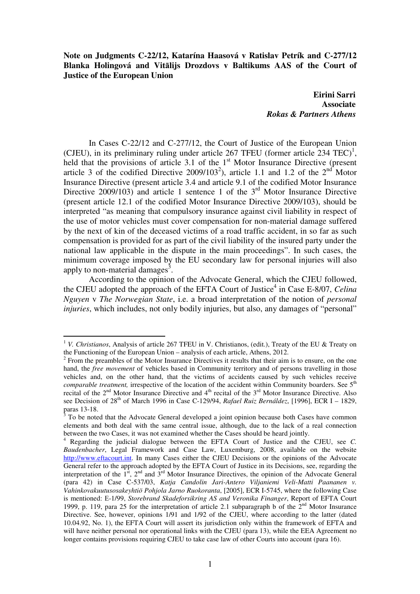**Note on Judgments C-22/12, Katarína Haasová v Ratislav Petrík and C-277/12 Blanka Holingová and Vit**ā**lijs Drozdovs v Baltikums AAS of the Court of Justice of the European Union** 

 **Eirini Sarri Associate** *Rokas & Partners Athens* 

In Cases C-22/12 and C-277/12, the Court of Justice of the European Union (CJEU), in its preliminary ruling under article 267 TFEU (former article  $234$  TEC)<sup>1</sup>, held that the provisions of article 3.1 of the  $1<sup>st</sup>$  Motor Insurance Directive (present article 3 of the codified Directive 2009/103<sup>2</sup>), article 1.1 and 1.2 of the  $2<sup>nd</sup>$  Motor Insurance Directive (present article 3.4 and article 9.1 of the codified Motor Insurance Directive 2009/103) and article 1 sentence 1 of the  $3<sup>rd</sup>$  Motor Insurance Directive (present article 12.1 of the codified Motor Insurance Directive 2009/103), should be interpreted "as meaning that compulsory insurance against civil liability in respect of the use of motor vehicles must cover compensation for non-material damage suffered by the next of kin of the deceased victims of a road traffic accident, in so far as such compensation is provided for as part of the civil liability of the insured party under the national law applicable in the dispute in the main proceedings". In such cases, the minimum coverage imposed by the EU secondary law for personal injuries will also apply to non-material damages<sup>3</sup>.

 According to the opinion of the Advocate General, which the CJEU followed, the CJEU adopted the approach of the EFTA Court of Justice<sup>4</sup> in Case E-8/07, *Celina Nguyen* v *The Norwegian State*, i.e. a broad interpretation of the notion of *personal injuries*, which includes, not only bodily injuries, but also, any damages of "personal"

<sup>&</sup>lt;sup>1</sup> *V. Christianos*, Analysis of article 267 TFEU in V. Christianos, (edit.), Treaty of the EU & Treaty on the Functioning of the European Union – analysis of each article, Athens, 2012.

 $2^2$  From the preambles of the Motor Insurance Directives it results that their aim is to ensure, on the one hand, the *free movement* of vehicles based in Community territory and of persons travelling in those vehicles and, on the other hand, that the victims of accidents caused by such vehicles receive *comparable treatment,* irrespective of the location of the accident within Community boarders. See 5<sup>th</sup> recital of the  $2^{nd}$  Motor Insurance Directive and  $4^{th}$  recital of the  $3^{rd}$  Motor Insurance Directive. Also see Decision of 28th of March 1996 in Case C-129/94, *Rafael Ruiz Bernáldez*, [1996], ECR I – 1829, paras 13-18.<br><sup>3</sup> To be noted

To be noted that the Advocate General developed a joint opinion because both Cases have common elements and both deal with the same central issue, although, due to the lack of a real connection between the two Cases, it was not examined whether the Cases should be heard jointly.

<sup>4</sup> Regarding the judicial dialogue between the EFTA Court of Justice and the CJEU, see *C. Baudenbacher*, Legal Framework and Case Law, Luxemburg, 2008, available on the website http://www.eftacourt.int. In many Cases either the CJEU Decisions or the opinions of the Advocate General refer to the approach adopted by the EFTA Court of Justice in its Decisions, see, regarding the interpretation of the 1<sup>st</sup>, 2<sup>nd</sup> and 3<sup>rd</sup> Motor Insurance Directives, the opinion of the Advocate General (para 42) in Case C-537/03, *Katja Candolin Jari-Antero Viljaniemi Veli-Matti Paananen v. Vahinkovakuutusosakeyhtiö Pohjola Jarno Ruokoranta*, [2005], ECR I-5745, where the following Case is mentioned: Ε-1/99, *Storebrand Skadeforsikring AS and Veronika Finanger*, Report of EFTA Court 1999, p. 119, para 25 for the interpretation of article 2.1 subparagraph b of the  $2<sup>nd</sup>$  Motor Insurance Directive. See, however, opinions 1/91 and 1/92 of the CJEU, where according to the latter (dated 10.04.92, No. 1), the EFTA Court will assert its jurisdiction only within the framework of EFTA and will have neither personal nor operational links with the CJEU (para 13), while the EEA Agreement no longer contains provisions requiring CJEU to take case law of other Courts into account (para 16).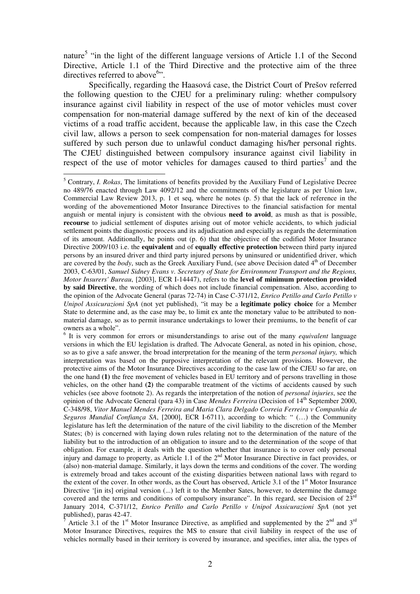nature<sup>5</sup> "in the light of the different language versions of Article 1.1 of the Second Directive, Article 1.1 of the Third Directive and the protective aim of the three directives referred to above<sup>6</sup>".

Specifically, regarding the Haasová case, the District Court of Prešov referred the following question to the CJEU for a preliminary ruling: whether compulsory insurance against civil liability in respect of the use of motor vehicles must cover compensation for non-material damage suffered by the next of kin of the deceased victims of a road traffic accident, because the applicable law, in this case the Czech civil law, allows a person to seek compensation for non-material damages for losses suffered by such person due to unlawful conduct damaging his/her personal rights. The CJEU distinguished between compulsory insurance against civil liability in respect of the use of motor vehicles for damages caused to third parties<sup>7</sup> and the

<sup>&</sup>lt;sup>5</sup> Contrary, *I. Rokas*, The limitations of benefits provided by the Auxiliary Fund of Legislative Decree no 489/76 enacted through Law 4092/12 and the commitments of the legislature as per Union law, Commercial Law Review 2013, p. 1 et seq, where he notes (p. 5) that the lack of reference in the wording of the abovementioned Motor Insurance Directives to the financial satisfaction for mental anguish or mental injury is consistent with the obvious **need to avoid**, as mush as that is possible, **recourse** to judicial settlement of disputes arising out of motor vehicle accidents, to which judicial settlement points the diagnostic process and its adjudication and especially as regards the determination of its amount. Additionally, he points out (p. 6) that the objective of the codified Motor Insurance Directive 2009/103 i.e. the **equivalent** and of **equally effective protection** between third party injured persons by an insured driver and third party injured persons by uninsured or unidentified driver, which are covered by the *body*, such as the Greek Auxiliary Fund, (see above Decision dated 4<sup>th</sup> of December 2003, C-63/01, *Samuel Sidney Evans v. Secretary of State for Environment Transport and the Regions, Motor Insurers' Bureau*, [2003], ECR I-14447), refers to the **level of minimum protection provided by said Directive**, the wording of which does not include financial compensation. Also, according to the opinion of the Advocate General (paras 72-74) in Case C-371/12, *Enrico Petillo and Carlo Petillo v Unipol Assicurazioni SpA* (not yet published), "it may be a **legitimate policy choice** for a Member State to determine and, as the case may be, to limit ex ante the monetary value to be attributed to nonmaterial damage, so as to permit insurance undertakings to lower their premiums, to the benefit of car owners as a whole".

<sup>&</sup>lt;sup>6</sup> It is very common for errors or misunderstandings to arise out of the many *equivalent* language versions in which the EU legislation is drafted. The Advocate General, as noted in his opinion, chose, so as to give a safe answer, the broad interpretation for the meaning of the term *personal injury,* which interpretation was based on the purposive interpretation of the relevant provisions. However, the protective aims of the Motor Insurance Directives according to the case law of the CJEU so far are, on the one hand **(1)** the free movement of vehicles based in EU territory and of persons travelling in those vehicles, on the other hand **(2)** the comparable treatment of the victims of accidents caused by such vehicles (see above footnote 2). As regards the interpretation of the notion of *personal injuries*, see the opinion of the Advocate General (para 43) in Case *Mendes Ferreira* (Decision of 14<sup>th</sup> September 2000, C-348/98, *Vitor Manuel Mendes Ferreira and Maria Clara Delgado Correia Ferreira v Companhia de Seguros Mundial Confiança SA*, [2000], ECR I-6711), according to which: " (…) the Community legislature has left the determination of the nature of the civil liability to the discretion of the Member States; (b) is concerned with laying down rules relating not to the determination of the nature of the liability but to the introduction of an obligation to insure and to the determination of the scope of that obligation. For example, it deals with the question whether that insurance is to cover only personal injury and damage to property, as Article 1.1 of the 2<sup>nd</sup> Motor Insurance Directive in fact provides, or (also) non-material damage. Similarly, it lays down the terms and conditions of the cover. The wording is extremely broad and takes account of the existing disparities between national laws with regard to the extent of the cover. In other words, as the Court has observed, Article 3.1 of the 1<sup>st</sup> Motor Insurance Directive '[in its] original version (...) left it to the Member Sates, however, to determine the damage covered and the terms and conditions of compulsory insurance". In this regard, see Decision of 23<sup>rd</sup> January 2014, C-371/12, *Enrico Petillo and Carlo Petillo v Unipol Assicurazioni SpA* (not yet published), paras 42-47.

<sup>7</sup> Article 3.1 of the  $1<sup>st</sup>$  Motor Insurance Directive, as amplified and supplemented by the  $2<sup>nd</sup>$  and  $3<sup>rd</sup>$ Motor Insurance Directives, requires the MS to ensure that civil liability in respect of the use of vehicles normally based in their territory is covered by insurance, and specifies, inter alia, the types of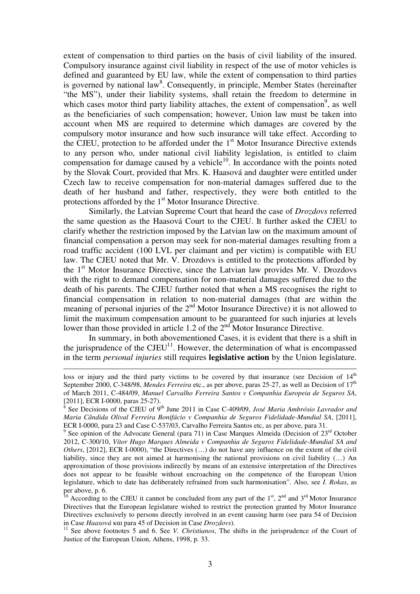extent of compensation to third parties on the basis of civil liability of the insured. Compulsory insurance against civil liability in respect of the use of motor vehicles is defined and guaranteed by EU law, while the extent of compensation to third parties is governed by national law<sup>8</sup>. Consequently, in principle, Member States (hereinafter "the MS"), under their liability systems, shall retain the freedom to determine in which cases motor third party liability attaches, the extent of compensation<sup>9</sup>, as well as the beneficiaries of such compensation; however, Union law must be taken into account when MS are required to determine which damages are covered by the compulsory motor insurance and how such insurance will take effect. According to the CJEU, protection to be afforded under the  $1<sup>st</sup>$  Motor Insurance Directive extends to any person who, under national civil liability legislation, is entitled to claim compensation for damage caused by a vehicle<sup>10</sup>. In accordance with the points noted by the Slovak Court, provided that Mrs. K. Haasová and daughter were entitled under Czech law to receive compensation for non-material damages suffered due to the death of her husband and father, respectively, they were both entitled to the protections afforded by the 1<sup>st</sup> Motor Insurance Directive.

Similarly, the Latvian Supreme Court that heard the case of *Drozdovs* referred the same question as the Haasová Court to the CJEU. It further asked the CJEU to clarify whether the restriction imposed by the Latvian law on the maximum amount of financial compensation a person may seek for non-material damages resulting from a road traffic accident (100 LVL per claimant and per victim) is compatible with EU law. The CJEU noted that Mr. V. Drozdovs is entitled to the protections afforded by the  $1<sup>st</sup>$  Motor Insurance Directive, since the Latvian law provides Mr. V. Drozdovs with the right to demand compensation for non-material damages suffered due to the death of his parents. The CJEU further noted that when a MS recognises the right to financial compensation in relation to non-material damages (that are within the meaning of personal injuries of the 2<sup>nd</sup> Motor Insurance Directive) it is not allowed to limit the maximum compensation amount to be guaranteed for such injuries at levels lower than those provided in article 1.2 of the 2<sup>nd</sup> Motor Insurance Directive.

In summary, in both abovementioned Cases, it is evident that there is a shift in the jurisprudence of the  $CJEU<sup>11</sup>$ . However, the determination of what is encompassed in the term *personal injuries* still requires **legislative action** by the Union legislature.

loss or injury and the third party victims to be covered by that insurance (see Decision of  $14<sup>th</sup>$ September 2000, C-348/98, *Mendes Ferreira* etc., as per above, paras 25-27, as well as Decision of 17<sup>th</sup> of March 2011, C-484/09, *Manuel Carvalho Ferreira Santos v Companhia Europeia de Seguros SA*, [2011], ECR I-0000, paras 25-27).<br><sup>8</sup> See Decisions of the CIELL of  $0^{t}$ 

See Decisions of the CJEU of 9<sup>th</sup> June 2011 in Case C-409/09, *José Maria Ambrósio Lavrador and Maria Cândida Olival Ferreira Bonifácio v Companhia de Seguros Fidelidade-Mundial SA*, [2011], ECR I-0000, para 23 and Case C-537/03, Carvalho Ferreira Santos etc, as per above, para 31.

<sup>&</sup>lt;sup>9</sup> See opinion of the Advocate General (para 71) in Case Marques Almeida (Decision of 23<sup>rd</sup> October 2012, C-300/10, *Vítor Hugo Marques Almeida v Companhia de Seguros Fidelidade-Mundial SA and Others*, [2012], ECR I-0000), "the Directives (...) do not have any influence on the extent of the civil liability, since they are not aimed at harmonising the national provisions on civil liability (…) An approximation of those provisions indirectly by means of an extensive interpretation of the Directives does not appear to be feasible without encroaching on the competence of the European Union legislature, which to date has deliberately refrained from such harmonisation". Also, see *I. Rokas*, as per above, p. 6.

<sup>&</sup>lt;sup>10</sup> According to the CJEU it cannot be concluded from any part of the 1<sup>st</sup>, 2<sup>nd</sup> and 3<sup>rd</sup> Motor Insurance Directives that the European legislature wished to restrict the protection granted by Motor Insurance Directives exclusively to persons directly involved in an event causing harm (see para 54 of Decision in Case *Haasová* και para 45 of Decision in Case *Drozdovs*).

<sup>&</sup>lt;sup>11</sup> See above footnotes 5 and 6. See *V. Christianos*, The shifts in the jurisprudence of the Court of Justice of the European Union, Athens, 1998, p. 33.